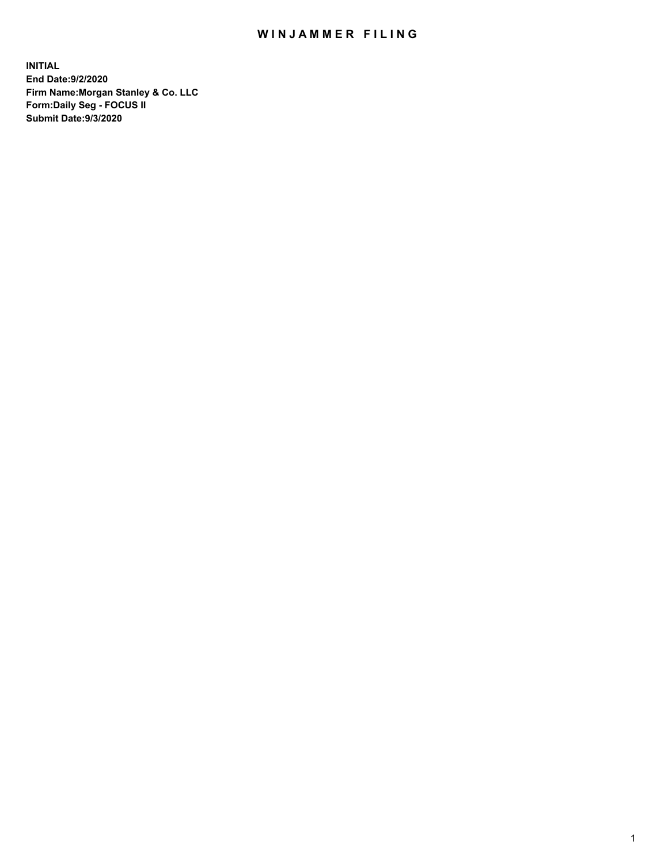## WIN JAMMER FILING

**INITIAL End Date:9/2/2020 Firm Name:Morgan Stanley & Co. LLC Form:Daily Seg - FOCUS II Submit Date:9/3/2020**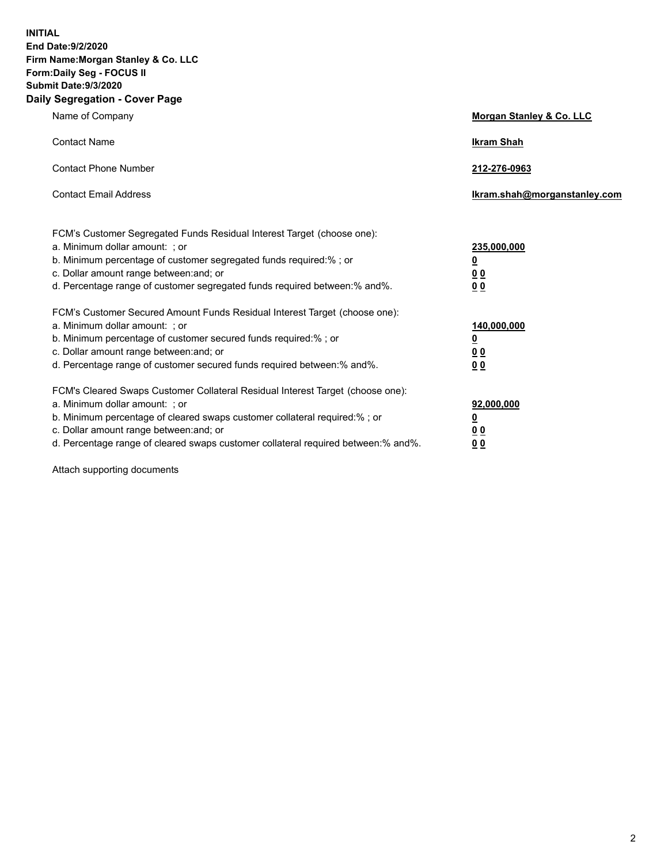**INITIAL End Date:9/2/2020 Firm Name:Morgan Stanley & Co. LLC Form:Daily Seg - FOCUS II Submit Date:9/3/2020 Daily Segregation - Cover Page**

| Name of Company                                                                   | Morgan Stanley & Co. LLC     |
|-----------------------------------------------------------------------------------|------------------------------|
| <b>Contact Name</b>                                                               | <b>Ikram Shah</b>            |
| <b>Contact Phone Number</b>                                                       | 212-276-0963                 |
| <b>Contact Email Address</b>                                                      | Ikram.shah@morganstanley.com |
| FCM's Customer Segregated Funds Residual Interest Target (choose one):            |                              |
| a. Minimum dollar amount: ; or                                                    | 235,000,000                  |
| b. Minimum percentage of customer segregated funds required:%; or                 | <u>0</u>                     |
| c. Dollar amount range between: and; or                                           | 0 <sub>0</sub>               |
| d. Percentage range of customer segregated funds required between:% and%.         | <u>00</u>                    |
| FCM's Customer Secured Amount Funds Residual Interest Target (choose one):        |                              |
| a. Minimum dollar amount: ; or                                                    | 140,000,000                  |
| b. Minimum percentage of customer secured funds required:%; or                    | <u>0</u>                     |
| c. Dollar amount range between: and; or                                           | <u>00</u>                    |
| d. Percentage range of customer secured funds required between: % and %.          | 0 <sup>0</sup>               |
| FCM's Cleared Swaps Customer Collateral Residual Interest Target (choose one):    |                              |
| a. Minimum dollar amount: ; or                                                    | 92,000,000                   |
| b. Minimum percentage of cleared swaps customer collateral required:% ; or        | <u>0</u>                     |
| c. Dollar amount range between: and; or                                           | 00                           |
| d. Percentage range of cleared swaps customer collateral required between:% and%. | 00                           |

Attach supporting documents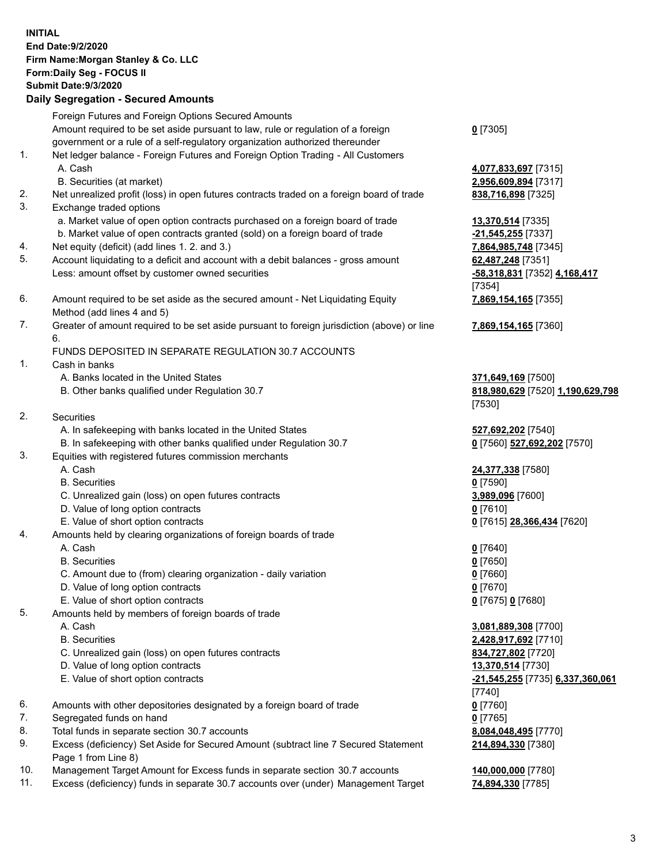| <b>INITIAL</b> | End Date: 9/2/2020<br>Firm Name: Morgan Stanley & Co. LLC<br>Form: Daily Seg - FOCUS II<br><b>Submit Date: 9/3/2020</b><br><b>Daily Segregation - Secured Amounts</b> |                                                   |
|----------------|-----------------------------------------------------------------------------------------------------------------------------------------------------------------------|---------------------------------------------------|
|                | Foreign Futures and Foreign Options Secured Amounts                                                                                                                   |                                                   |
|                | Amount required to be set aside pursuant to law, rule or regulation of a foreign                                                                                      | $0$ [7305]                                        |
|                | government or a rule of a self-regulatory organization authorized thereunder                                                                                          |                                                   |
| 1.             | Net ledger balance - Foreign Futures and Foreign Option Trading - All Customers<br>A. Cash                                                                            | 4,077,833,697 [7315]                              |
|                | B. Securities (at market)                                                                                                                                             | 2,956,609,894 [7317]                              |
| 2.             | Net unrealized profit (loss) in open futures contracts traded on a foreign board of trade                                                                             | 838,716,898 [7325]                                |
| 3.             | Exchange traded options                                                                                                                                               |                                                   |
|                | a. Market value of open option contracts purchased on a foreign board of trade                                                                                        | 13,370,514 [7335]                                 |
|                | b. Market value of open contracts granted (sold) on a foreign board of trade                                                                                          | -21,545,255 [7337]                                |
| 4.<br>5.       | Net equity (deficit) (add lines 1. 2. and 3.)                                                                                                                         | 7,864,985,748 [7345]                              |
|                | Account liquidating to a deficit and account with a debit balances - gross amount<br>Less: amount offset by customer owned securities                                 | 62,487,248 [7351]<br>-58,318,831 [7352] 4,168,417 |
|                |                                                                                                                                                                       | [7354]                                            |
| 6.             | Amount required to be set aside as the secured amount - Net Liquidating Equity                                                                                        | 7,869,154,165 [7355]                              |
|                | Method (add lines 4 and 5)                                                                                                                                            |                                                   |
| 7.             | Greater of amount required to be set aside pursuant to foreign jurisdiction (above) or line                                                                           | 7,869,154,165 [7360]                              |
|                | 6.                                                                                                                                                                    |                                                   |
| 1.             | FUNDS DEPOSITED IN SEPARATE REGULATION 30.7 ACCOUNTS<br>Cash in banks                                                                                                 |                                                   |
|                | A. Banks located in the United States                                                                                                                                 | 371,649,169 [7500]                                |
|                | B. Other banks qualified under Regulation 30.7                                                                                                                        | 818,980,629 [7520] 1,190,629,798                  |
|                |                                                                                                                                                                       | [7530]                                            |
| 2.             | <b>Securities</b>                                                                                                                                                     |                                                   |
|                | A. In safekeeping with banks located in the United States                                                                                                             | 527,692,202 [7540]                                |
|                | B. In safekeeping with other banks qualified under Regulation 30.7                                                                                                    | 0 [7560] 527,692,202 [7570]                       |
| 3.             | Equities with registered futures commission merchants<br>A. Cash                                                                                                      | 24,377,338 [7580]                                 |
|                | <b>B.</b> Securities                                                                                                                                                  | $0$ [7590]                                        |
|                | C. Unrealized gain (loss) on open futures contracts                                                                                                                   | 3,989,096 [7600]                                  |
|                | D. Value of long option contracts                                                                                                                                     | $0$  7610                                         |
|                | E. Value of short option contracts                                                                                                                                    | 0 [7615] 28,366,434 [7620]                        |
| 4.             | Amounts held by clearing organizations of foreign boards of trade                                                                                                     |                                                   |
|                | A. Cash                                                                                                                                                               | $0$ [7640]                                        |
|                | <b>B.</b> Securities<br>C. Amount due to (from) clearing organization - daily variation                                                                               | $0$ [7650]                                        |
|                | D. Value of long option contracts                                                                                                                                     | $0$ [7660]<br>0 [7670]                            |
|                | E. Value of short option contracts                                                                                                                                    | 0 [7675] 0 [7680]                                 |
| 5.             | Amounts held by members of foreign boards of trade                                                                                                                    |                                                   |
|                | A. Cash                                                                                                                                                               | 3,081,889,308 [7700]                              |
|                | <b>B.</b> Securities                                                                                                                                                  | 2,428,917,692 [7710]                              |
|                | C. Unrealized gain (loss) on open futures contracts                                                                                                                   | 834,727,802 [7720]                                |
|                | D. Value of long option contracts                                                                                                                                     | 13,370,514 [7730]                                 |
|                | E. Value of short option contracts                                                                                                                                    | -21,545,255 [7735] 6,337,360,061<br>[7740]        |
| 6.             | Amounts with other depositories designated by a foreign board of trade                                                                                                | $0$ [7760]                                        |
| 7.             | Segregated funds on hand                                                                                                                                              | $0$ [7765]                                        |
| 8.             | Total funds in separate section 30.7 accounts                                                                                                                         | 8,084,048,495 [7770]                              |
| 9.             | Excess (deficiency) Set Aside for Secured Amount (subtract line 7 Secured Statement                                                                                   | 214,894,330 [7380]                                |
|                | Page 1 from Line 8)                                                                                                                                                   |                                                   |
| 10.<br>11.     | Management Target Amount for Excess funds in separate section 30.7 accounts                                                                                           | 140,000,000 [7780]                                |
|                | Excess (deficiency) funds in separate 30.7 accounts over (under) Management Target                                                                                    | 74,894,330 [7785]                                 |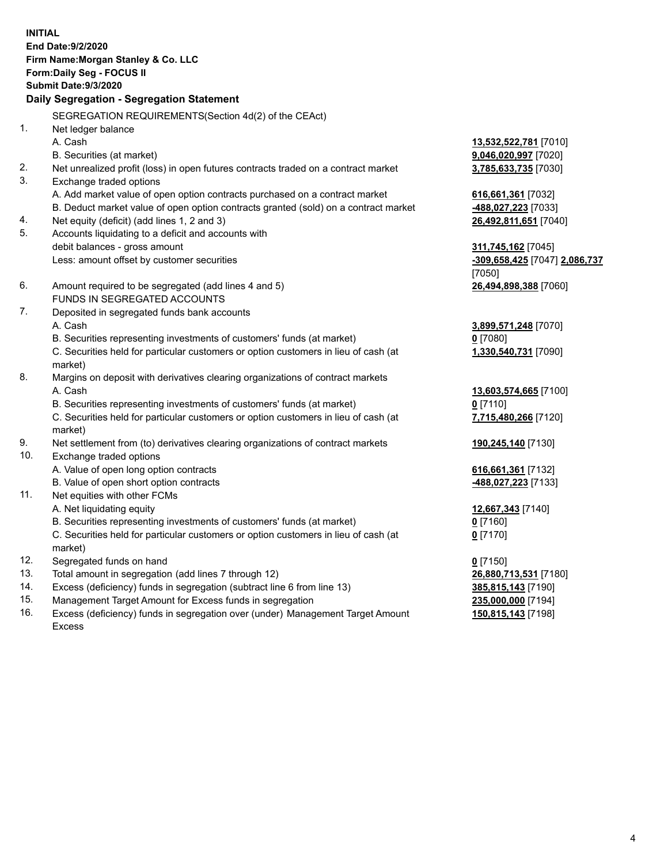|          | <b>INITIAL</b><br>End Date: 9/2/2020<br>Firm Name: Morgan Stanley & Co. LLC<br>Form: Daily Seg - FOCUS II<br><b>Submit Date: 9/3/2020</b><br>Daily Segregation - Segregation Statement |                               |
|----------|----------------------------------------------------------------------------------------------------------------------------------------------------------------------------------------|-------------------------------|
|          | SEGREGATION REQUIREMENTS(Section 4d(2) of the CEAct)                                                                                                                                   |                               |
| 1.       | Net ledger balance                                                                                                                                                                     |                               |
|          | A. Cash                                                                                                                                                                                | 13,532,522,781 [7010]         |
|          | B. Securities (at market)                                                                                                                                                              | 9,046,020,997 [7020]          |
| 2.<br>3. | Net unrealized profit (loss) in open futures contracts traded on a contract market<br>Exchange traded options                                                                          | 3,785,633,735 [7030]          |
|          | A. Add market value of open option contracts purchased on a contract market                                                                                                            | 616,661,361 [7032]            |
|          | B. Deduct market value of open option contracts granted (sold) on a contract market                                                                                                    | 488,027,223 [7033]            |
| 4.       | Net equity (deficit) (add lines 1, 2 and 3)                                                                                                                                            | 26,492,811,651 [7040]         |
| 5.       | Accounts liquidating to a deficit and accounts with                                                                                                                                    |                               |
|          | debit balances - gross amount                                                                                                                                                          | 311,745,162 [7045]            |
|          | Less: amount offset by customer securities                                                                                                                                             | -309,658,425 [7047] 2,086,737 |
|          |                                                                                                                                                                                        | [7050]                        |
| 6.       | Amount required to be segregated (add lines 4 and 5)                                                                                                                                   | 26,494,898,388 [7060]         |
|          | <b>FUNDS IN SEGREGATED ACCOUNTS</b>                                                                                                                                                    |                               |
| 7.       | Deposited in segregated funds bank accounts                                                                                                                                            |                               |
|          | A. Cash                                                                                                                                                                                | 3,899,571,248 [7070]          |
|          | B. Securities representing investments of customers' funds (at market)                                                                                                                 | $0$ [7080]                    |
|          | C. Securities held for particular customers or option customers in lieu of cash (at<br>market)                                                                                         | 1,330,540,731 [7090]          |
| 8.       | Margins on deposit with derivatives clearing organizations of contract markets                                                                                                         |                               |
|          | A. Cash                                                                                                                                                                                | 13,603,574,665 [7100]         |
|          | B. Securities representing investments of customers' funds (at market)                                                                                                                 | $0$ [7110]                    |
|          | C. Securities held for particular customers or option customers in lieu of cash (at<br>market)                                                                                         | 7,715,480,266 [7120]          |
| 9.       | Net settlement from (to) derivatives clearing organizations of contract markets                                                                                                        | 190,245,140 [7130]            |
| 10.      | Exchange traded options                                                                                                                                                                |                               |
|          | A. Value of open long option contracts                                                                                                                                                 | 616,661,361 [7132]            |
|          | B. Value of open short option contracts                                                                                                                                                | 488,027,223 [7133]            |
| 11.      | Net equities with other FCMs                                                                                                                                                           |                               |
|          | A. Net liquidating equity                                                                                                                                                              | 12,667,343 [7140]             |
|          | B. Securities representing investments of customers' funds (at market)                                                                                                                 | <u>0</u> [7160]               |
|          | C. Securities held for particular customers or option customers in lieu of cash (at<br>market)                                                                                         | $0$ [7170]                    |
| 12.      | Segregated funds on hand                                                                                                                                                               | $0$ [7150]                    |
| 13.      | Total amount in segregation (add lines 7 through 12)                                                                                                                                   | 26,880,713,531 [7180]         |
| 14.      | Excess (deficiency) funds in segregation (subtract line 6 from line 13)                                                                                                                | 385,815,143 [7190]            |
| 15.      | Management Target Amount for Excess funds in segregation                                                                                                                               | 235,000,000 [7194]            |
| 16.      | Excess (deficiency) funds in segregation over (under) Management Target Amount                                                                                                         | 150,815,143 [7198]            |

16. Excess (deficiency) funds in segregation over (under) Management Target Amount Excess